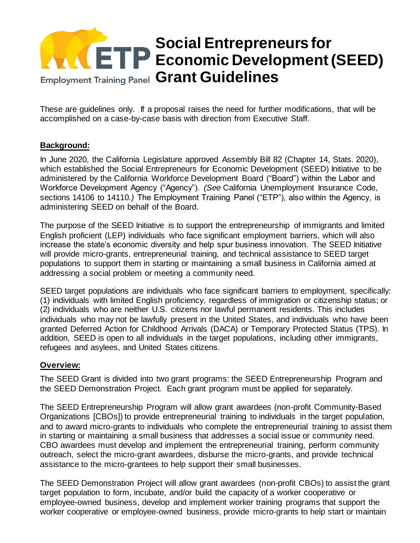## **Social Entrepreneurs for Economic Development (SEED)**  Employment Training Panel Grant Guidelines

These are guidelines only. If a proposal raises the need for further modifications, that will be accomplished on a case-by-case basis with direction from Executive Staff.

## **Background:**

In June 2020, the California Legislature approved Assembly Bill 82 (Chapter 14, Stats. 2020), which established the Social Entrepreneurs for Economic Development (SEED) Initiative to be administered by the California Workforce Development Board ("Board") within the Labor and Workforce Development Agency ("Agency"). *(See* California Unemployment Insurance Code, sections 14106 to 14110*.)* The Employment Training Panel ("ETP"), also within the Agency, is administering SEED on behalf of the Board.

The purpose of the SEED Initiative is to support the entrepreneurship of immigrants and limited English proficient (LEP) individuals who face significant employment barriers, which will also increase the state's economic diversity and help spur business innovation. The SEED Initiative will provide micro-grants, entrepreneurial training, and technical assistance to SEED target populations to support them in starting or maintaining a small business in California aimed at addressing a social problem or meeting a community need.

SEED target populations are individuals who face significant barriers to employment, specifically: (1) individuals with limited English proficiency, regardless of immigration or citizenship status; or (2) individuals who are neither U.S. citizens nor lawful permanent residents. This includes individuals who may not be lawfully present in the United States, and individuals who have been granted Deferred Action for Childhood Arrivals (DACA) or Temporary Protected Status (TPS). In addition, SEED is open to all individuals in the target populations, including other immigrants, refugees and asylees, and United States citizens.

## **Overview:**

The SEED Grant is divided into two grant programs: the SEED Entrepreneurship Program and the SEED Demonstration Project. Each grant program must be applied for separately.

The SEED Entrepreneurship Program will allow grant awardees (non-profit Community-Based Organizations [CBOs]) to provide entrepreneurial training to individuals in the target population, and to award micro-grants to individuals who complete the entrepreneurial training to assist them in starting or maintaining a small business that addresses a social issue or community need. CBO awardees must develop and implement the entrepreneurial training, perform community outreach, select the micro-grant awardees, disburse the micro-grants, and provide technical assistance to the micro-grantees to help support their small businesses.

The SEED Demonstration Project will allow grant awardees (non-profit CBOs) to assist the grant target population to form, incubate, and/or build the capacity of a worker cooperative or employee-owned business, develop and implement worker training programs that support the worker cooperative or employee-owned business, provide micro-grants to help start or maintain